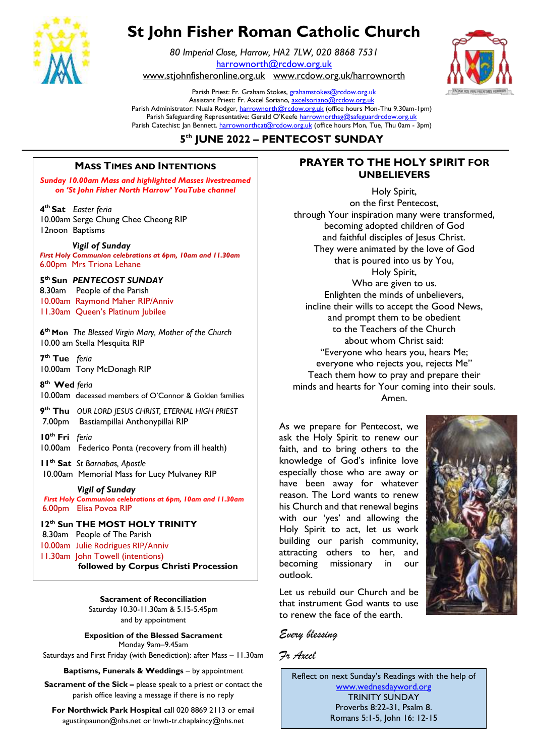

# **St John Fisher Roman Catholic Church**

*80 Imperial Close, Harrow, HA2 7LW, 020 8868 7531* [harrownorth@rcdow.org.uk](mailto:harrownorth@rcdow.org.uk) 

[www.stjohnfisheronline.org.uk](http://www.stjohnfisheronline.org.uk/) www.rcdow.org.uk/harrownorth



Parish Priest: Fr. Graham Stokes[, grahamstokes@rcdow.org.uk](mailto:grahamstokes@rcdow.org.uk) Assistant Priest: Fr. Axcel Soriano[, axcelsoriano@rcdow.org.uk](mailto:axcelsoriano@rcdow.org.uk) Parish Administrator: Nuala Rodger[, harrownorth@rcdow.org.uk](mailto:harrownorth@rcdow.org.uk) (office hours Mon-Thu 9.30am-1pm) Parish Safeguarding Representative: Gerald O'Keefe [harrownorthsg@safeguardrcdow.org.uk](mailto:harrownorthsg@safeguardrcdow.org.uk) Parish Catechist: Jan Bennett. [harrownorthcat@rcdow.org.uk](mailto:harrownorthcat@rcdow.org.uk) (office hours Mon, Tue, Thu 0am - 3pm)

# **5 th JUNE 2022 – PENTECOST SUNDAY**

**MASS TIMES AND INTENTIONS**

**Sunday 10.00am Mass and highlighted Masses livestreamed** *on 'St John Fisher North Harrow' YouTube channel* 

**4 th Sat** *Easter feria* 10.00am Serge Chung Chee Cheong RIP 12noon Baptisms

 *Vigil of Sunday First Holy Communion celebrations at 6pm, 10am and 11.30am*  6.00pm Mrs Triona Lehane

**5 th Sun** *PENTECOST SUNDAY* 8.30am People of the Parish 10.00am Raymond Maher RIP/Anniv 11.30am Queen's Platinum Jubilee

**6 th Mon** *The Blessed Virgin Mary, Mother of the Church* 10.00 am Stella Mesquita RIP

**7 th Tue** *feria* 10.00am Tony McDonagh RIP

**8 th Wed** *feria* 10.00am deceased members of O'Connor & Golden families

**9 th Thu** *OUR LORD JESUS CHRIST, ETERNAL HIGH PRIEST* 7.00pmBastiampillai Anthonypillai RIP

**10th Fri** *feria* 10.00am Federico Ponta (recovery from ill health)

**11th Sat** *St Barnabas, Apostle* 10.00am Memorial Mass for Lucy Mulvaney RIP

 *Vigil of Sunday First Holy Communion celebrations at 6pm, 10am and 11.30am*  6.00pm Elisa Povoa RIP

**12th Sun THE MOST HOLY TRINITY** 8.30am People of The Parish 10.00am Julie Rodrigues RIP/Anniv 11.30am John Towell (intentions) **followed by Corpus Christi Procession** 

> **Sacrament of Reconciliation** Saturday 10.30-11.30am & 5.15-5.45pm and by appointment

**Exposition of the Blessed Sacrament** Monday 9am–9.45am

Saturdays and First Friday (with Benediction): after Mass – 11.30am

**Baptisms, Funerals & Weddings** – by appointment

**Sacrament of the Sick –** please speak to a priest or contact the parish office leaving a message if there is no reply

**For Northwick Park Hospital** call 020 8869 2113 or email agustinpaunon@nhs.net or lnwh-tr.chaplaincy@nhs.net

#### MASS TIMES AND INTENTIONS PRAYER TO THE HOLY SPIRIT FOR **UNBELIEVERS \_\_\_\_\_\_\_\_\_\_\_\_\_\_\_\_\_\_\_\_\_\_\_\_\_\_\_\_\_\_\_\_\_\_\_\_\_\_\_\_\_\_\_\_\_\_\_\_\_\_\_\_\_\_\_\_\_\_\_\_\_\_\_\_\_\_\_\_\_\_\_\_\_\_\_\_\_\_\_\_\_\_\_\_\_\_\_\_\_\_\_\_\_\_\_\_\_\_\_\_\_\_\_\_\_\_\_\_\_\_\_\_\_\_\_\_\_\_\_\_\_\_\_\_\_\_\_\_\_\_\_\_\_\_\_\_\_\_\_\_\_\_\_\_\_\_\_\_\_\_\_\_\_\_\_\_\_\_\_\_\_**  $\overline{a}$   $\overline{a}$   $\overline{a}$   $\overline{a}$   $\overline{a}$   $\overline{a}$   $\overline{a}$   $\overline{a}$   $\overline{a}$   $\overline{a}$   $\overline{a}$   $\overline{a}$   $\overline{a}$   $\overline{a}$   $\overline{a}$   $\overline{a}$   $\overline{a}$   $\overline{a}$   $\overline{a}$   $\overline{a}$   $\overline{a}$   $\overline{a}$   $\overline{a}$   $\overline{a}$   $\overline{$ -------[Grab your reader's attention with a great quote from the document or use this space to emphasize a key

Holy Spirit, on the first Pentecost, on the first rentecost,<br>through Your inspiration many were transformed, becoming adopted children of God and faithful disciples of Jesus Christ. They were animated by the love of God that is poured into us by You, Holy Spirit, Who are given to us. Enlighten the minds of unbelievers, incline their wills to accept the Good News, and prompt them to be obedient to the Teachers of the Church about whom Christ said: "Everyone who hears you, hears Me; everyone who rejects you, rejects Me" Teach them how to pray and prepare their minds and hearts for Your coming into their souls. Amen.  $\blacksquare$ 

> As we prepare for Pentecost, we ask the Holy Spirit to renew our faith, and to bring others to the knowledge of God's infinite love especially those who are away or have been away for whatever reason. The Lord wants to renew his Church and that renewal begins with our 'yes' and allowing the Holy Spirit to act, let us work building our parish community, attracting others to her, and becoming missionary in our outlook.



Let us rebuild our Church and be that instrument God wants to use to renew the face of the earth.

*Every blessing* 

*Fr Axccl*

Reflect on next Sunday's Readings with the help of [www.wednesdayword.org](http://www.wednesdayword.org/) TRINITY SUNDAY Proverbs 8:22-31, Psalm 8. Romans 5:1-5, John 16: 12-15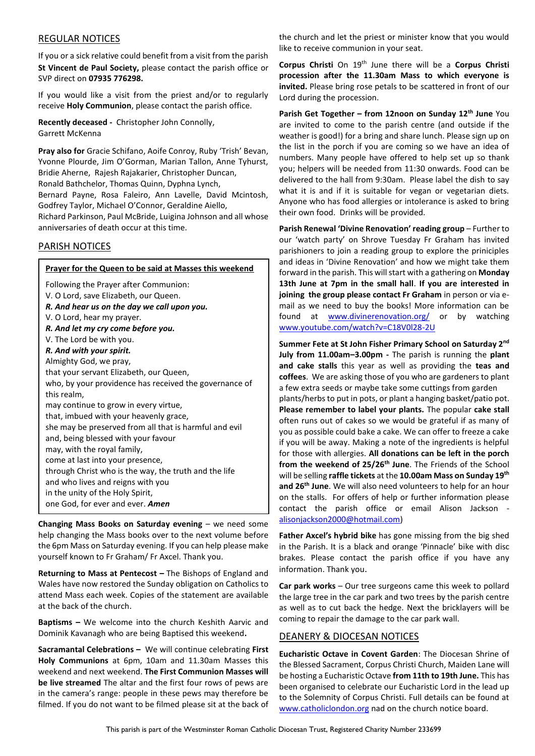### REGULAR NOTICES

If you or a sick relative could benefit from a visit from the parish **St Vincent de Paul Society,** please contact the parish office or SVP direct on **07935 776298.**

If you would like a visit from the priest and/or to regularly receive **Holy Communion**, please contact the parish office.

**Recently deceased -** Christopher John Connolly, Garrett McKenna

**Pray also for** Gracie Schifano, Aoife Conroy, Ruby 'Trish' Bevan, Yvonne Plourde, Jim O'Gorman, Marian Tallon, Anne Tyhurst, Bridie Aherne, Rajesh Rajakarier, Christopher Duncan, Ronald Bathchelor, Thomas Quinn, Dyphna Lynch,

Bernard Payne, Rosa Faleiro, Ann Lavelle, David Mcintosh, Godfrey Taylor, Michael O'Connor, Geraldine Aiello,

Richard Parkinson, Paul McBride, Luigina Johnson and all whose anniversaries of death occur at this time.

#### PARISH NOTICES

| <b>Prayer for the Queen to be said at Masses this weekend</b> |
|---------------------------------------------------------------|
| Following the Prayer after Communion:                         |
| V. O Lord, save Elizabeth, our Queen.                         |
| R. And hear us on the day we call upon you.                   |
| V. O Lord, hear my prayer.                                    |
| R. And let my cry come before you.                            |
| V. The Lord be with you.                                      |
| R. And with your spirit.                                      |
| Almighty God, we pray,                                        |
| that your servant Elizabeth, our Queen,                       |
| who, by your providence has received the governance of        |
| this realm,                                                   |
| may continue to grow in every virtue,                         |
| that, imbued with your heavenly grace,                        |
| she may be preserved from all that is harmful and evil        |
| and, being blessed with your favour                           |
| may, with the royal family,                                   |
| come at last into your presence,                              |
| through Christ who is the way, the truth and the life         |
| and who lives and reigns with you                             |
| in the unity of the Holy Spirit,                              |
| one God, for ever and ever. <b>Amen</b>                       |
| Changing Mass Books on Saturdav evening - we need son         |

**Changing Mass Books on Saturday evening** – we need some help changing the Mass books over to the next volume before the 6pm Mass on Saturday evening. If you can help please make yourself known to Fr Graham/ Fr Axcel. Thank you.

**Returning to Mass at Pentecost – The Bishops of England and** Wales have now restored the Sunday obligation on Catholics to attend Mass each week. Copies of the statement are available at the back of the church.

**Baptisms –** We welcome into the church Keshith Aarvic and Dominik Kavanagh who are being Baptised this weekend**.**

**Sacramantal Celebrations –** We will continue celebrating **First Holy Communions** at 6pm, 10am and 11.30am Masses this weekend and next weekend. **The First Communion Masses will be live streamed** The altar and the first four rows of pews are in the camera's range: people in these pews may therefore be filmed. If you do not want to be filmed please sit at the back of the church and let the priest or minister know that you would like to receive communion in your seat.

**Corpus Christi** On 19th June there will be a **Corpus Christi procession after the 11.30am Mass to which everyone is invited.** Please bring rose petals to be scattered in front of our Lord during the procession.

**Parish Get Together – from 12noon on Sunday 12th June** You are invited to come to the parish centre (and outside if the weather is good!) for a bring and share lunch. Please sign up on the list in the porch if you are coming so we have an idea of numbers. Many people have offered to help set up so thank you; helpers will be needed from 11:30 onwards. Food can be delivered to the hall from 9:30am. Please label the dish to say what it is and if it is suitable for vegan or vegetarian diets. Anyone who has food allergies or intolerance is asked to bring their own food. Drinks will be provided.

**Parish Renewal 'Divine Renovation' reading group** – Further to our 'watch party' on Shrove Tuesday Fr Graham has invited parishioners to join a reading group to explore the priniciples and ideas in 'Divine Renovation' and how we might take them forward in the parish. This will start with a gathering on **Monday 13th June at 7pm in the small hall**. **If you are interested in joining the group please contact Fr Graham** in person or via email as we need to buy the books! More information can be found at **[www.divinerenovation.org/](https://www.divinerenovation.org/)** or by watching [www.youtube.com/watch?v=C18V0l28-2U](http://www.youtube.com/watch?v=C18V0l28-2U)

**Summer Fete at St John Fisher Primary School on Saturday 2nd July from 11.00am–3.00pm -** The parish is running the **plant and cake stalls** this year as well as providing the **teas and coffees**. We are asking those of you who are gardeners to plant a few extra seeds or maybe take some cuttings from garden

plants/herbs to put in pots, or plant a hanging basket/patio pot. **Please remember to label your plants.** The popular **cake stall** often runs out of cakes so we would be grateful if as many of you as possible could bake a cake. We can offer to freeze a cake if you will be away. Making a note of the ingredients is helpful for those with allergies. **All donations can be left in the porch from the weekend of 25/26th June**. The Friends of the School will be selling **raffle tickets** at the **10.00am Mass on Sunday 19th and 26th June**. We will also need volunteers to help for an hour on the stalls. For offers of help or further information please contact the parish office or email Alison Jackson [alisonjackson2000@hotmail.com\)](mailto:alisonjackson2000@hotmail.com)

**Father Axcel's hybrid bike** has gone missing from the big shed in the Parish. It is a black and orange 'Pinnacle' bike with disc brakes. Please contact the parish office if you have any information. Thank you.

**Car park works** – Our tree surgeons came this week to pollard the large tree in the car park and two trees by the parish centre as well as to cut back the hedge. Next the bricklayers will be coming to repair the damage to the car park wall.

#### DEANERY & DIOCESAN NOTICES

**Eucharistic Octave in Covent Garden**: The Diocesan Shrine of the Blessed Sacrament, Corpus Christi Church, Maiden Lane will be hosting a Eucharistic Octave **from 11th to 19th June.** This has been organised to celebrate our Eucharistic Lord in the lead up to the Solemnity of Corpus Christi. Full details can be found at [www.catholiclondon.org](http://www.catholiclondon.org/) nad on the church notice board.